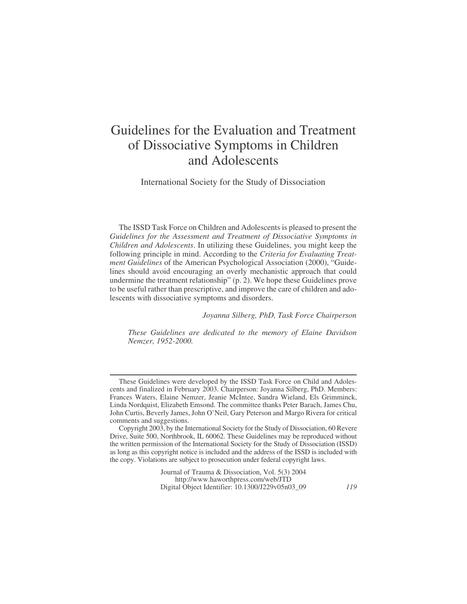# Guidelines for the Evaluation and Treatment of Dissociative Symptoms in Children and Adolescents

International Society for the Study of Dissociation

The ISSD Task Force on Children and Adolescents is pleased to present the *Guidelines for the Assessment and Treatment of Dissociative Symptoms in Children and Adolescents*. In utilizing these Guidelines, you might keep the following principle in mind. According to the *Criteria for Evaluating Treatment Guidelines* of the American Psychological Association (2000), "Guidelines should avoid encouraging an overly mechanistic approach that could undermine the treatment relationship" (p. 2). We hope these Guidelines prove to be useful rather than prescriptive, and improve the care of children and adolescents with dissociative symptoms and disorders.

*Joyanna Silberg, PhD, Task Force Chairperson*

*These Guidelines are dedicated to the memory of Elaine Davidson Nemzer, 1952-2000.*

These Guidelines were developed by the ISSD Task Force on Child and Adolescents and finalized in February 2003. Chairperson: Joyanna Silberg, PhD. Members: Frances Waters, Elaine Nemzer, Jeanie McIntee, Sandra Wieland, Els Grimminck, Linda Nordquist, Elizabeth Emsond. The committee thanks Peter Barach, James Chu, John Curtis, Beverly James, John O'Neil, Gary Peterson and Margo Rivera for critical comments and suggestions.

Copyright 2003, by the International Society for the Study of Dissociation, 60 Revere Drive, Suite 500, Northbrook, IL 60062. These Guidelines may be reproduced without the written permission of the International Society for the Study of Dissociation (ISSD) as long as this copyright notice is included and the address of the ISSD is included with the copy. Violations are subject to prosecution under federal copyright laws.

Journal of Trauma & Dissociation, Vol. 5(3) 2004 <http://www.haworthpress.com/web/JTD> Digital Object Identifier: 10.1300/J229v05n03\_09 *119*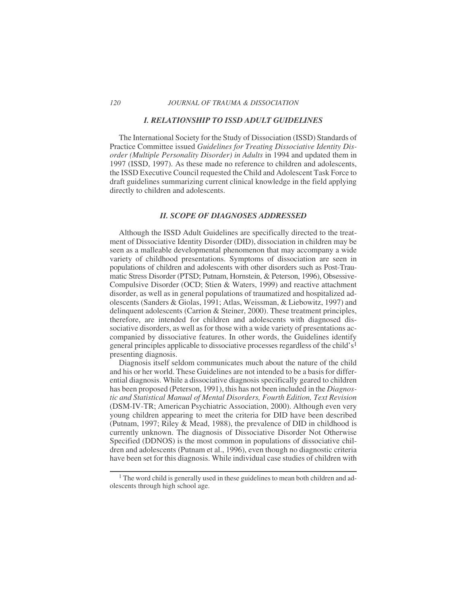#### *I. RELATIONSHIP TO ISSD ADULT GUIDELINES*

The International Society for the Study of Dissociation (ISSD) Standards of Practice Committee issued *Guidelines for Treating Dissociative Identity Disorder (Multiple Personality Disorder) in Adults* in 1994 and updated them in 1997 (ISSD, 1997). As these made no reference to children and adolescents, the ISSD Executive Council requested the Child and Adolescent Task Force to draft guidelines summarizing current clinical knowledge in the field applying directly to children and adolescents.

## *II. SCOPE OF DIAGNOSES ADDRESSED*

Although the ISSD Adult Guidelines are specifically directed to the treatment of Dissociative Identity Disorder (DID), dissociation in children may be seen as a malleable developmental phenomenon that may accompany a wide variety of childhood presentations. Symptoms of dissociation are seen in populations of children and adolescents with other disorders such as Post-Traumatic Stress Disorder (PTSD; Putnam, Hornstein, & Peterson, 1996), Obsessive-Compulsive Disorder (OCD; Stien & Waters, 1999) and reactive attachment disorder, as well as in general populations of traumatized and hospitalized adolescents (Sanders & Giolas, 1991; Atlas, Weissman, & Liebowitz, 1997) and delinquent adolescents (Carrion & Steiner, 2000). These treatment principles, therefore, are intended for children and adolescents with diagnosed dissociative disorders, as well as for those with a wide variety of presentations accompanied by dissociative features. In other words, the Guidelines identify general principles applicable to dissociative processes regardless of the child's1 presenting diagnosis.

Diagnosis itself seldom communicates much about the nature of the child and his or her world. These Guidelines are not intended to be a basis for differential diagnosis. While a dissociative diagnosis specifically geared to children has been proposed (Peterson, 1991), this has not been included in the *Diagnostic and Statistical Manual of Mental Disorders, Fourth Edition, Text Revision* (DSM-IV-TR; American Psychiatric Association, 2000). Although even very young children appearing to meet the criteria for DID have been described (Putnam, 1997; Riley & Mead, 1988), the prevalence of DID in childhood is currently unknown. The diagnosis of Dissociative Disorder Not Otherwise Specified (DDNOS) is the most common in populations of dissociative children and adolescents (Putnam et al., 1996), even though no diagnostic criteria have been set for this diagnosis. While individual case studies of children with

<sup>&</sup>lt;sup>1</sup> The word child is generally used in these guidelines to mean both children and adolescents through high school age.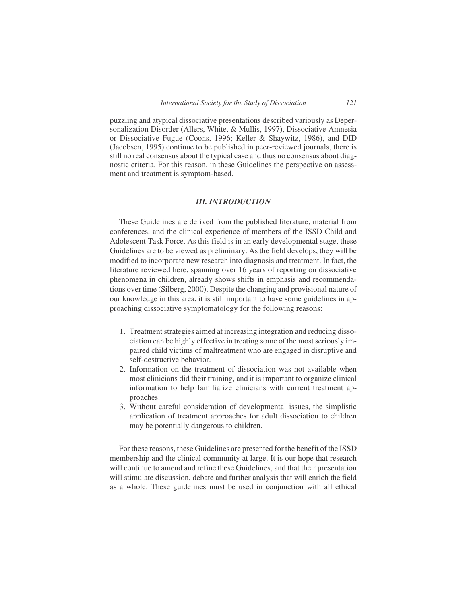puzzling and atypical dissociative presentations described variously as Depersonalization Disorder (Allers, White, & Mullis, 1997), Dissociative Amnesia or Dissociative Fugue (Coons, 1996; Keller & Shaywitz, 1986), and DID (Jacobsen, 1995) continue to be published in peer-reviewed journals, there is still no real consensus about the typical case and thus no consensus about diagnostic criteria. For this reason, in these Guidelines the perspective on assessment and treatment is symptom-based.

## *III. INTRODUCTION*

These Guidelines are derived from the published literature, material from conferences, and the clinical experience of members of the ISSD Child and Adolescent Task Force. As this field is in an early developmental stage, these Guidelines are to be viewed as preliminary. As the field develops, they will be modified to incorporate new research into diagnosis and treatment. In fact, the literature reviewed here, spanning over 16 years of reporting on dissociative phenomena in children, already shows shifts in emphasis and recommendations over time (Silberg, 2000). Despite the changing and provisional nature of our knowledge in this area, it is still important to have some guidelines in approaching dissociative symptomatology for the following reasons:

- 1. Treatment strategies aimed at increasing integration and reducing dissociation can be highly effective in treating some of the most seriously impaired child victims of maltreatment who are engaged in disruptive and self-destructive behavior.
- 2. Information on the treatment of dissociation was not available when most clinicians did their training, and it is important to organize clinical information to help familiarize clinicians with current treatment approaches.
- 3. Without careful consideration of developmental issues, the simplistic application of treatment approaches for adult dissociation to children may be potentially dangerous to children.

For these reasons, these Guidelines are presented for the benefit of the ISSD membership and the clinical community at large. It is our hope that research will continue to amend and refine these Guidelines, and that their presentation will stimulate discussion, debate and further analysis that will enrich the field as a whole. These guidelines must be used in conjunction with all ethical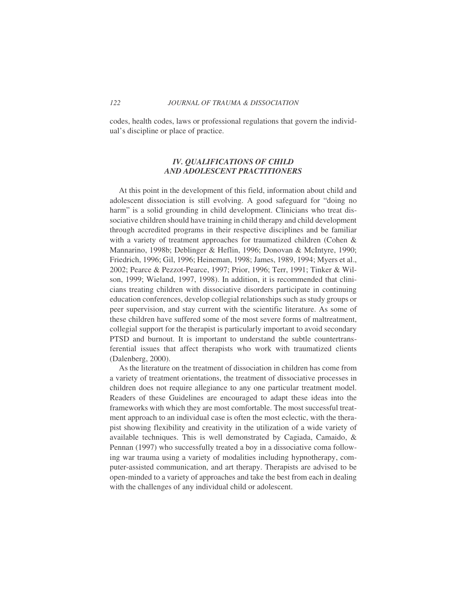codes, health codes, laws or professional regulations that govern the individual's discipline or place of practice.

# *IV. QUALIFICATIONS OF CHILD AND ADOLESCENT PRACTITIONERS*

At this point in the development of this field, information about child and adolescent dissociation is still evolving. A good safeguard for "doing no harm" is a solid grounding in child development. Clinicians who treat dissociative children should have training in child therapy and child development through accredited programs in their respective disciplines and be familiar with a variety of treatment approaches for traumatized children (Cohen & Mannarino, 1998b; Deblinger & Heflin, 1996; Donovan & McIntyre, 1990; Friedrich, 1996; Gil, 1996; Heineman, 1998; James, 1989, 1994; Myers et al., 2002; Pearce & Pezzot-Pearce, 1997; Prior, 1996; Terr, 1991; Tinker & Wilson, 1999; Wieland, 1997, 1998). In addition, it is recommended that clinicians treating children with dissociative disorders participate in continuing education conferences, develop collegial relationships such as study groups or peer supervision, and stay current with the scientific literature. As some of these children have suffered some of the most severe forms of maltreatment, collegial support for the therapist is particularly important to avoid secondary PTSD and burnout. It is important to understand the subtle countertransferential issues that affect therapists who work with traumatized clients (Dalenberg, 2000).

As the literature on the treatment of dissociation in children has come from a variety of treatment orientations, the treatment of dissociative processes in children does not require allegiance to any one particular treatment model. Readers of these Guidelines are encouraged to adapt these ideas into the frameworks with which they are most comfortable. The most successful treatment approach to an individual case is often the most eclectic, with the therapist showing flexibility and creativity in the utilization of a wide variety of available techniques. This is well demonstrated by Cagiada, Camaido, & Pennan (1997) who successfully treated a boy in a dissociative coma following war trauma using a variety of modalities including hypnotherapy, computer-assisted communication, and art therapy. Therapists are advised to be open-minded to a variety of approaches and take the best from each in dealing with the challenges of any individual child or adolescent.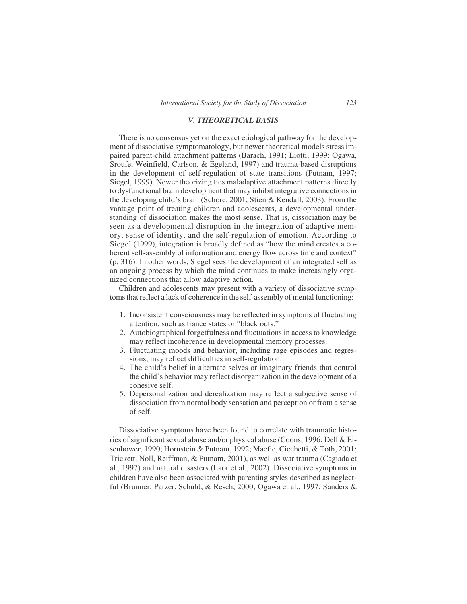## *V. THEORETICAL BASIS*

There is no consensus yet on the exact etiological pathway for the development of dissociative symptomatology, but newer theoretical models stress impaired parent-child attachment patterns (Barach, 1991; Liotti, 1999; Ogawa, Sroufe, Weinfield, Carlson, & Egeland, 1997) and trauma-based disruptions in the development of self-regulation of state transitions (Putnam, 1997; Siegel, 1999). Newer theorizing ties maladaptive attachment patterns directly to dysfunctional brain development that may inhibit integrative connections in the developing child's brain (Schore, 2001; Stien & Kendall, 2003). From the vantage point of treating children and adolescents, a developmental understanding of dissociation makes the most sense. That is, dissociation may be seen as a developmental disruption in the integration of adaptive memory, sense of identity, and the self-regulation of emotion. According to Siegel (1999), integration is broadly defined as "how the mind creates a coherent self-assembly of information and energy flow across time and context" (p. 316). In other words, Siegel sees the development of an integrated self as an ongoing process by which the mind continues to make increasingly organized connections that allow adaptive action.

Children and adolescents may present with a variety of dissociative symptoms that reflect a lack of coherence in the self-assembly of mental functioning:

- 1. Inconsistent consciousness may be reflected in symptoms of fluctuating attention, such as trance states or "black outs."
- 2. Autobiographical forgetfulness and fluctuations in access to knowledge may reflect incoherence in developmental memory processes.
- 3. Fluctuating moods and behavior, including rage episodes and regressions, may reflect difficulties in self-regulation.
- 4. The child's belief in alternate selves or imaginary friends that control the child's behavior may reflect disorganization in the development of a cohesive self.
- 5. Depersonalization and derealization may reflect a subjective sense of dissociation from normal body sensation and perception or from a sense of self.

Dissociative symptoms have been found to correlate with traumatic histories of significant sexual abuse and/or physical abuse (Coons, 1996; Dell & Eisenhower, 1990; Hornstein & Putnam, 1992; Macfie, Cicchetti, & Toth, 2001; Trickett, Noll, Reiffman, & Putnam, 2001), as well as war trauma (Cagiada et al., 1997) and natural disasters (Laor et al., 2002). Dissociative symptoms in children have also been associated with parenting styles described as neglectful (Brunner, Parzer, Schuld, & Resch, 2000; Ogawa et al., 1997; Sanders &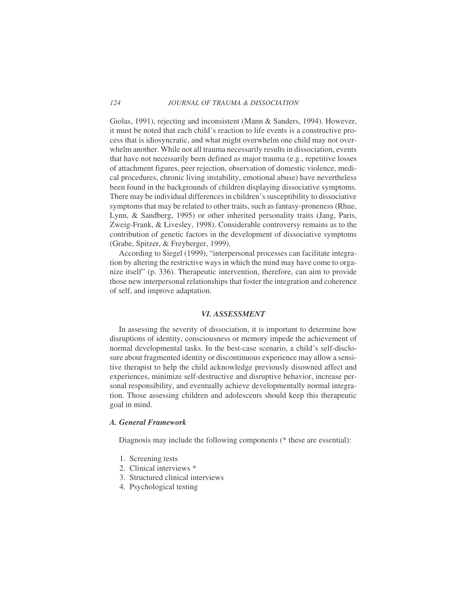Giolas, 1991), rejecting and inconsistent (Mann & Sanders, 1994). However, it must be noted that each child's reaction to life events is a constructive process that is idiosyncratic, and what might overwhelm one child may not overwhelm another. While not all trauma necessarily results in dissociation, events that have not necessarily been defined as major trauma (e.g., repetitive losses of attachment figures, peer rejection, observation of domestic violence, medical procedures, chronic living instability, emotional abuse) have nevertheless been found in the backgrounds of children displaying dissociative symptoms. There may be individual differences in children's susceptibility to dissociative symptoms that may be related to other traits, such as fantasy-proneness (Rhue, Lynn, & Sandberg, 1995) or other inherited personality traits (Jang, Paris, Zweig-Frank, & Livesley, 1998). Considerable controversy remains as to the contribution of genetic factors in the development of dissociative symptoms (Grabe, Spitzer, & Freyberger, 1999).

According to Siegel (1999), "interpersonal processes can facilitate integration by altering the restrictive ways in which the mind may have come to organize itself" (p. 336). Therapeutic intervention, therefore, can aim to provide those new interpersonal relationships that foster the integration and coherence of self, and improve adaptation.

## *VI. ASSESSMENT*

In assessing the severity of dissociation, it is important to determine how disruptions of identity, consciousness or memory impede the achievement of normal developmental tasks. In the best-case scenario, a child's self-disclosure about fragmented identity or discontinuous experience may allow a sensitive therapist to help the child acknowledge previously disowned affect and experiences, minimize self-destructive and disruptive behavior, increase personal responsibility, and eventually achieve developmentally normal integration. Those assessing children and adolescents should keep this therapeutic goal in mind.

## *A. General Framework*

Diagnosis may include the following components (\* these are essential):

- 1. Screening tests
- 2. Clinical interviews \*
- 3. Structured clinical interviews
- 4. Psychological testing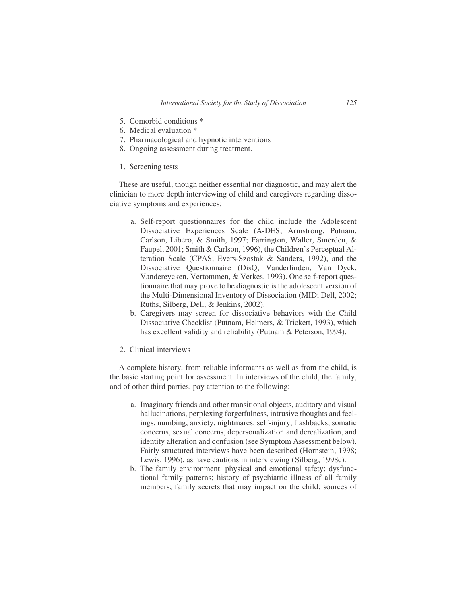- 5. Comorbid conditions \*
- 6. Medical evaluation \*
- 7. Pharmacological and hypnotic interventions
- 8. Ongoing assessment during treatment.
- 1. Screening tests

These are useful, though neither essential nor diagnostic, and may alert the clinician to more depth interviewing of child and caregivers regarding dissociative symptoms and experiences:

- a. Self-report questionnaires for the child include the Adolescent Dissociative Experiences Scale (A-DES; Armstrong, Putnam, Carlson, Libero, & Smith, 1997; Farrington, Waller, Smerden, & Faupel, 2001; Smith & Carlson, 1996), the Children's Perceptual Alteration Scale (CPAS; Evers-Szostak & Sanders, 1992), and the Dissociative Questionnaire (DisQ; Vanderlinden, Van Dyck, Vandereycken, Vertommen, & Verkes, 1993). One self-report questionnaire that may prove to be diagnostic is the adolescent version of the Multi-Dimensional Inventory of Dissociation (MID; Dell, 2002; Ruths, Silberg, Dell, & Jenkins, 2002).
- b. Caregivers may screen for dissociative behaviors with the Child Dissociative Checklist (Putnam, Helmers, & Trickett, 1993), which has excellent validity and reliability (Putnam & Peterson, 1994).
- 2. Clinical interviews

A complete history, from reliable informants as well as from the child, is the basic starting point for assessment. In interviews of the child, the family, and of other third parties, pay attention to the following:

- a. Imaginary friends and other transitional objects, auditory and visual hallucinations, perplexing forgetfulness, intrusive thoughts and feelings, numbing, anxiety, nightmares, self-injury, flashbacks, somatic concerns, sexual concerns, depersonalization and derealization, and identity alteration and confusion (see Symptom Assessment below). Fairly structured interviews have been described (Hornstein, 1998; Lewis, 1996), as have cautions in interviewing (Silberg, 1998c).
- b. The family environment: physical and emotional safety; dysfunctional family patterns; history of psychiatric illness of all family members; family secrets that may impact on the child; sources of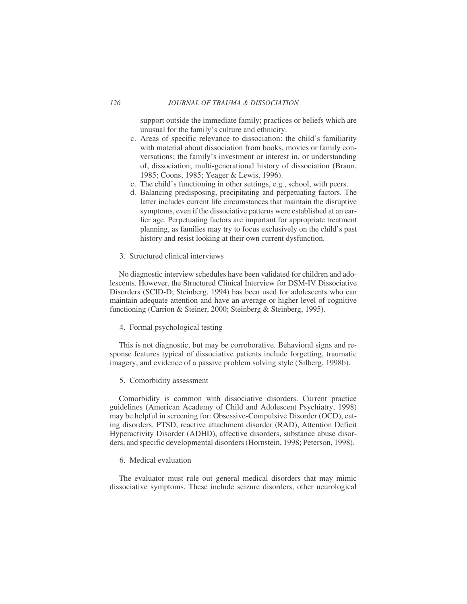support outside the immediate family; practices or beliefs which are unusual for the family's culture and ethnicity.

- c. Areas of specific relevance to dissociation: the child's familiarity with material about dissociation from books, movies or family conversations; the family's investment or interest in, or understanding of, dissociation; multi-generational history of dissociation (Braun, 1985; Coons, 1985; Yeager & Lewis, 1996).
- c. The child's functioning in other settings, e.g., school, with peers.
- d. Balancing predisposing, precipitating and perpetuating factors. The latter includes current life circumstances that maintain the disruptive symptoms, even if the dissociative patterns were established at an earlier age. Perpetuating factors are important for appropriate treatment planning, as families may try to focus exclusively on the child's past history and resist looking at their own current dysfunction.
- 3. Structured clinical interviews

No diagnostic interview schedules have been validated for children and adolescents. However, the Structured Clinical Interview for DSM-IV Dissociative Disorders (SCID-D; Steinberg, 1994) has been used for adolescents who can maintain adequate attention and have an average or higher level of cognitive functioning (Carrion & Steiner, 2000; Steinberg & Steinberg, 1995).

4. Formal psychological testing

This is not diagnostic, but may be corroborative. Behavioral signs and response features typical of dissociative patients include forgetting, traumatic imagery, and evidence of a passive problem solving style (Silberg, 1998b).

#### 5. Comorbidity assessment

Comorbidity is common with dissociative disorders. Current practice guidelines (American Academy of Child and Adolescent Psychiatry, 1998) may be helpful in screening for: Obsessive-Compulsive Disorder (OCD), eating disorders, PTSD, reactive attachment disorder (RAD), Attention Deficit Hyperactivity Disorder (ADHD), affective disorders, substance abuse disorders, and specific developmental disorders (Hornstein, 1998; Peterson, 1998).

6. Medical evaluation

The evaluator must rule out general medical disorders that may mimic dissociative symptoms. These include seizure disorders, other neurological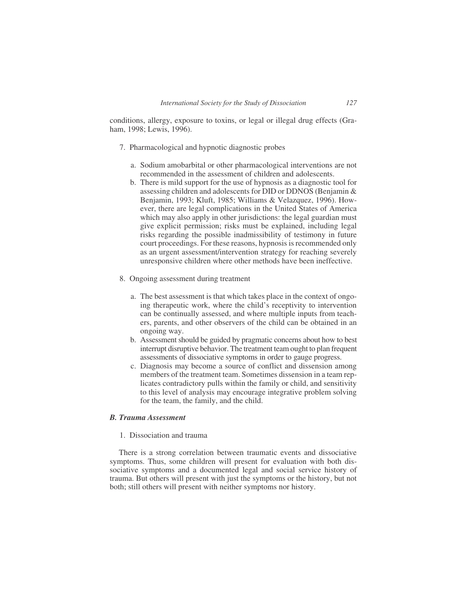conditions, allergy, exposure to toxins, or legal or illegal drug effects (Graham, 1998; Lewis, 1996).

- 7. Pharmacological and hypnotic diagnostic probes
	- a. Sodium amobarbital or other pharmacological interventions are not recommended in the assessment of children and adolescents.
	- b. There is mild support for the use of hypnosis as a diagnostic tool for assessing children and adolescents for DID or DDNOS (Benjamin & Benjamin, 1993; Kluft, 1985; Williams & Velazquez, 1996). However, there are legal complications in the United States of America which may also apply in other jurisdictions: the legal guardian must give explicit permission; risks must be explained, including legal risks regarding the possible inadmissibility of testimony in future court proceedings. For these reasons, hypnosis is recommended only as an urgent assessment/intervention strategy for reaching severely unresponsive children where other methods have been ineffective.
- 8. Ongoing assessment during treatment
	- a. The best assessment is that which takes place in the context of ongoing therapeutic work, where the child's receptivity to intervention can be continually assessed, and where multiple inputs from teachers, parents, and other observers of the child can be obtained in an ongoing way.
	- b. Assessment should be guided by pragmatic concerns about how to best interrupt disruptive behavior. The treatment team ought to plan frequent assessments of dissociative symptoms in order to gauge progress.
	- c. Diagnosis may become a source of conflict and dissension among members of the treatment team. Sometimes dissension in a team replicates contradictory pulls within the family or child, and sensitivity to this level of analysis may encourage integrative problem solving for the team, the family, and the child.

# *B. Trauma Assessment*

#### 1. Dissociation and trauma

There is a strong correlation between traumatic events and dissociative symptoms. Thus, some children will present for evaluation with both dissociative symptoms and a documented legal and social service history of trauma. But others will present with just the symptoms or the history, but not both; still others will present with neither symptoms nor history.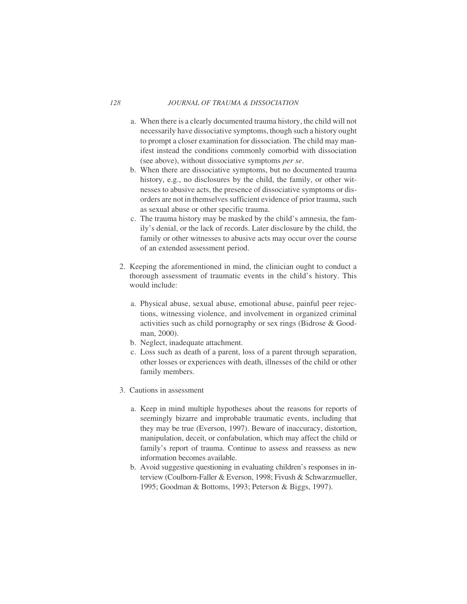- a. When there is a clearly documented trauma history, the child will not necessarily have dissociative symptoms, though such a history ought to prompt a closer examination for dissociation. The child may manifest instead the conditions commonly comorbid with dissociation (see above), without dissociative symptoms *per se*.
- b. When there are dissociative symptoms, but no documented trauma history, e.g., no disclosures by the child, the family, or other witnesses to abusive acts, the presence of dissociative symptoms or disorders are not in themselves sufficient evidence of prior trauma, such as sexual abuse or other specific trauma.
- c. The trauma history may be masked by the child's amnesia, the family's denial, or the lack of records. Later disclosure by the child, the family or other witnesses to abusive acts may occur over the course of an extended assessment period.
- 2. Keeping the aforementioned in mind, the clinician ought to conduct a thorough assessment of traumatic events in the child's history. This would include:
	- a. Physical abuse, sexual abuse, emotional abuse, painful peer rejections, witnessing violence, and involvement in organized criminal activities such as child pornography or sex rings (Bidrose & Goodman, 2000).
	- b. Neglect, inadequate attachment.
	- c. Loss such as death of a parent, loss of a parent through separation, other losses or experiences with death, illnesses of the child or other family members.
- 3. Cautions in assessment
	- a. Keep in mind multiple hypotheses about the reasons for reports of seemingly bizarre and improbable traumatic events, including that they may be true (Everson, 1997). Beware of inaccuracy, distortion, manipulation, deceit, or confabulation, which may affect the child or family's report of trauma. Continue to assess and reassess as new information becomes available.
	- b. Avoid suggestive questioning in evaluating children's responses in interview (Coulborn-Faller & Everson, 1998; Fivush & Schwarzmueller, 1995; Goodman & Bottoms, 1993; Peterson & Biggs, 1997).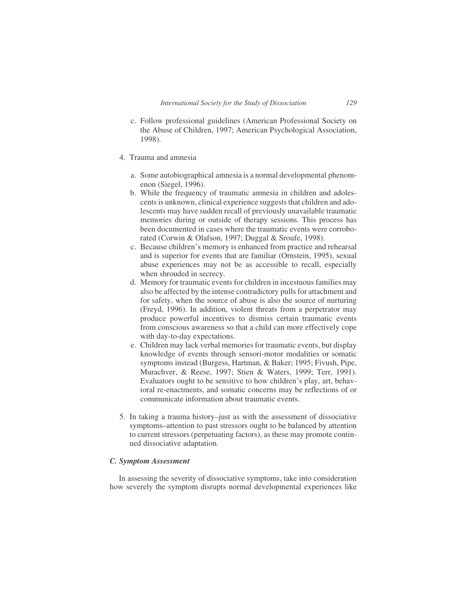- c. Follow professional guidelines (American Professional Society on the Abuse of Children, 1997; American Psychological Association, 1998).
- 4. Trauma and amnesia
	- a. Some autobiographical amnesia is a normal developmental phenomenon (Siegel, 1996).
	- b. While the frequency of traumatic amnesia in children and adolescents is unknown, clinical experience suggests that children and adolescents may have sudden recall of previously unavailable traumatic memories during or outside of therapy sessions. This process has been documented in cases where the traumatic events were corroborated (Corwin & Olafson, 1997; Duggal & Sroufe, 1998).
	- c. Because children's memory is enhanced from practice and rehearsal and is superior for events that are familiar (Ornstein, 1995), sexual abuse experiences may not be as accessible to recall, especially when shrouded in secrecy.
	- d. Memory for traumatic events for children in incestuous families may also be affected by the intense contradictory pulls for attachment and for safety, when the source of abuse is also the source of nurturing (Freyd, 1996). In addition, violent threats from a perpetrator may produce powerful incentives to dismiss certain traumatic events from conscious awareness so that a child can more effectively cope with day-to-day expectations.
	- e. Children may lack verbal memories for traumatic events, but display knowledge of events through sensori-motor modalities or somatic symptoms instead (Burgess, Hartman, & Baker; 1995; Fivush, Pipe, Murachver, & Reese, 1997; Stien & Waters, 1999; Terr, 1991). Evaluators ought to be sensitive to how children's play, art, behavioral re-enactments, and somatic concerns may be reflections of or communicate information about traumatic events.
- 5. In taking a trauma history–just as with the assessment of dissociative symptoms–attention to past stressors ought to be balanced by attention to current stressors (perpetuating factors), as these may promote continued dissociative adaptation.

## *C. Symptom Assessment*

In assessing the severity of dissociative symptoms, take into consideration how severely the symptom disrupts normal developmental experiences like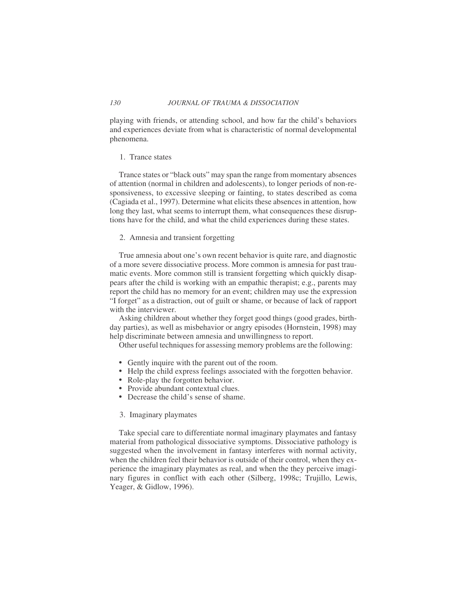playing with friends, or attending school, and how far the child's behaviors and experiences deviate from what is characteristic of normal developmental phenomena.

#### 1. Trance states

Trance states or "black outs" may span the range from momentary absences of attention (normal in children and adolescents), to longer periods of non-responsiveness, to excessive sleeping or fainting, to states described as coma (Cagiada et al., 1997). Determine what elicits these absences in attention, how long they last, what seems to interrupt them, what consequences these disruptions have for the child, and what the child experiences during these states.

## 2. Amnesia and transient forgetting

True amnesia about one's own recent behavior is quite rare, and diagnostic of a more severe dissociative process. More common is amnesia for past traumatic events. More common still is transient forgetting which quickly disappears after the child is working with an empathic therapist; e.g., parents may report the child has no memory for an event; children may use the expression "I forget" as a distraction, out of guilt or shame, or because of lack of rapport with the interviewer.

Asking children about whether they forget good things (good grades, birthday parties), as well as misbehavior or angry episodes (Hornstein, 1998) may help discriminate between amnesia and unwillingness to report.

Other useful techniques for assessing memory problems are the following:

- Gently inquire with the parent out of the room.
- Help the child express feelings associated with the forgotten behavior.
- Role-play the forgotten behavior.
- Provide abundant contextual clues.
- Decrease the child's sense of shame.

## 3. Imaginary playmates

Take special care to differentiate normal imaginary playmates and fantasy material from pathological dissociative symptoms. Dissociative pathology is suggested when the involvement in fantasy interferes with normal activity, when the children feel their behavior is outside of their control, when they experience the imaginary playmates as real, and when the they perceive imaginary figures in conflict with each other (Silberg, 1998c; Trujillo, Lewis, Yeager, & Gidlow, 1996).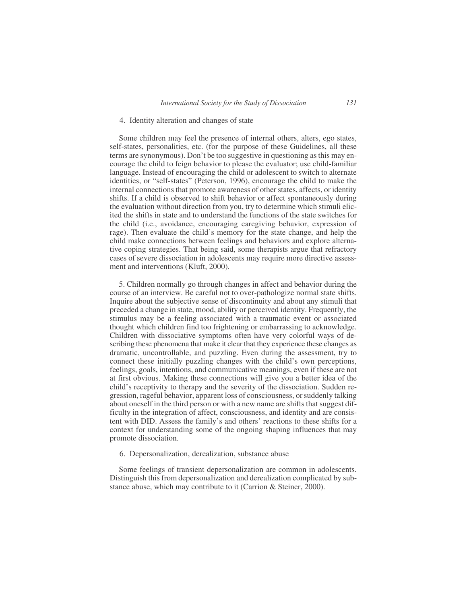#### 4. Identity alteration and changes of state

Some children may feel the presence of internal others, alters, ego states, self-states, personalities, etc. (for the purpose of these Guidelines, all these terms are synonymous). Don't be too suggestive in questioning as this may encourage the child to feign behavior to please the evaluator; use child-familiar language. Instead of encouraging the child or adolescent to switch to alternate identities, or "self-states" (Peterson, 1996), encourage the child to make the internal connections that promote awareness of other states, affects, or identity shifts. If a child is observed to shift behavior or affect spontaneously during the evaluation without direction from you, try to determine which stimuli elicited the shifts in state and to understand the functions of the state switches for the child (i.e., avoidance, encouraging caregiving behavior, expression of rage). Then evaluate the child's memory for the state change, and help the child make connections between feelings and behaviors and explore alternative coping strategies. That being said, some therapists argue that refractory cases of severe dissociation in adolescents may require more directive assessment and interventions (Kluft, 2000).

5. Children normally go through changes in affect and behavior during the course of an interview. Be careful not to over-pathologize normal state shifts. Inquire about the subjective sense of discontinuity and about any stimuli that preceded a change in state, mood, ability or perceived identity. Frequently, the stimulus may be a feeling associated with a traumatic event or associated thought which children find too frightening or embarrassing to acknowledge. Children with dissociative symptoms often have very colorful ways of describing these phenomena that make it clear that they experience these changes as dramatic, uncontrollable, and puzzling. Even during the assessment, try to connect these initially puzzling changes with the child's own perceptions, feelings, goals, intentions, and communicative meanings, even if these are not at first obvious. Making these connections will give you a better idea of the child's receptivity to therapy and the severity of the dissociation. Sudden regression, rageful behavior, apparent loss of consciousness, or suddenly talking about oneself in the third person or with a new name are shifts that suggest difficulty in the integration of affect, consciousness, and identity and are consistent with DID. Assess the family's and others' reactions to these shifts for a context for understanding some of the ongoing shaping influences that may promote dissociation.

# 6. Depersonalization, derealization, substance abuse

Some feelings of transient depersonalization are common in adolescents. Distinguish this from depersonalization and derealization complicated by substance abuse, which may contribute to it (Carrion & Steiner, 2000).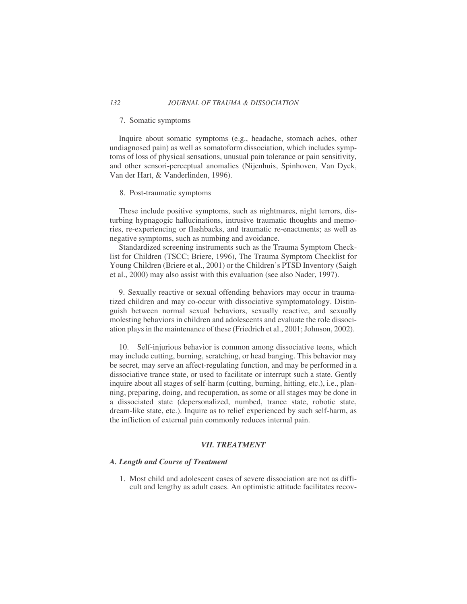#### 7. Somatic symptoms

Inquire about somatic symptoms (e.g., headache, stomach aches, other undiagnosed pain) as well as somatoform dissociation, which includes symptoms of loss of physical sensations, unusual pain tolerance or pain sensitivity, and other sensori-perceptual anomalies (Nijenhuis, Spinhoven, Van Dyck, Van der Hart, & Vanderlinden, 1996).

#### 8. Post-traumatic symptoms

These include positive symptoms, such as nightmares, night terrors, disturbing hypnagogic hallucinations, intrusive traumatic thoughts and memories, re-experiencing or flashbacks, and traumatic re-enactments; as well as negative symptoms, such as numbing and avoidance.

Standardized screening instruments such as the Trauma Symptom Checklist for Children (TSCC; Briere, 1996), The Trauma Symptom Checklist for Young Children (Briere et al., 2001) or the Children's PTSD Inventory (Saigh et al., 2000) may also assist with this evaluation (see also Nader, 1997).

9. Sexually reactive or sexual offending behaviors may occur in traumatized children and may co-occur with dissociative symptomatology. Distinguish between normal sexual behaviors, sexually reactive, and sexually molesting behaviors in children and adolescents and evaluate the role dissociation plays in the maintenance of these (Friedrich et al., 2001; Johnson, 2002).

10. Self-injurious behavior is common among dissociative teens, which may include cutting, burning, scratching, or head banging. This behavior may be secret, may serve an affect-regulating function, and may be performed in a dissociative trance state, or used to facilitate or interrupt such a state. Gently inquire about all stages of self-harm (cutting, burning, hitting, etc.), i.e., planning, preparing, doing, and recuperation, as some or all stages may be done in a dissociated state (depersonalized, numbed, trance state, robotic state, dream-like state, etc.). Inquire as to relief experienced by such self-harm, as the infliction of external pain commonly reduces internal pain.

# *VII. TREATMENT*

## *A. Length and Course of Treatment*

1. Most child and adolescent cases of severe dissociation are not as difficult and lengthy as adult cases. An optimistic attitude facilitates recov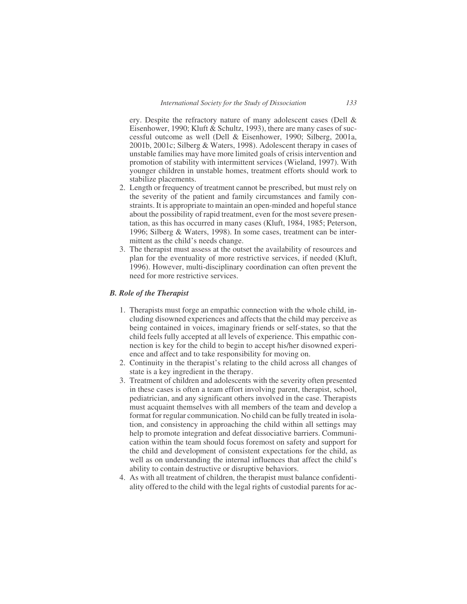ery. Despite the refractory nature of many adolescent cases (Dell & Eisenhower, 1990; Kluft & Schultz, 1993), there are many cases of successful outcome as well (Dell & Eisenhower, 1990; Silberg, 2001a, 2001b, 2001c; Silberg & Waters, 1998). Adolescent therapy in cases of unstable families may have more limited goals of crisis intervention and promotion of stability with intermittent services (Wieland, 1997). With younger children in unstable homes, treatment efforts should work to stabilize placements.

- 2. Length or frequency of treatment cannot be prescribed, but must rely on the severity of the patient and family circumstances and family constraints. It is appropriate to maintain an open-minded and hopeful stance about the possibility of rapid treatment, even for the most severe presentation, as this has occurred in many cases (Kluft, 1984, 1985; Peterson, 1996; Silberg & Waters, 1998). In some cases, treatment can be intermittent as the child's needs change.
- 3. The therapist must assess at the outset the availability of resources and plan for the eventuality of more restrictive services, if needed (Kluft, 1996). However, multi-disciplinary coordination can often prevent the need for more restrictive services.

## *B. Role of the Therapist*

- 1. Therapists must forge an empathic connection with the whole child, including disowned experiences and affects that the child may perceive as being contained in voices, imaginary friends or self-states, so that the child feels fully accepted at all levels of experience. This empathic connection is key for the child to begin to accept his/her disowned experience and affect and to take responsibility for moving on.
- 2. Continuity in the therapist's relating to the child across all changes of state is a key ingredient in the therapy.
- 3. Treatment of children and adolescents with the severity often presented in these cases is often a team effort involving parent, therapist, school, pediatrician, and any significant others involved in the case. Therapists must acquaint themselves with all members of the team and develop a format for regular communication. No child can be fully treated in isolation, and consistency in approaching the child within all settings may help to promote integration and defeat dissociative barriers. Communication within the team should focus foremost on safety and support for the child and development of consistent expectations for the child, as well as on understanding the internal influences that affect the child's ability to contain destructive or disruptive behaviors.
- 4. As with all treatment of children, the therapist must balance confidentiality offered to the child with the legal rights of custodial parents for ac-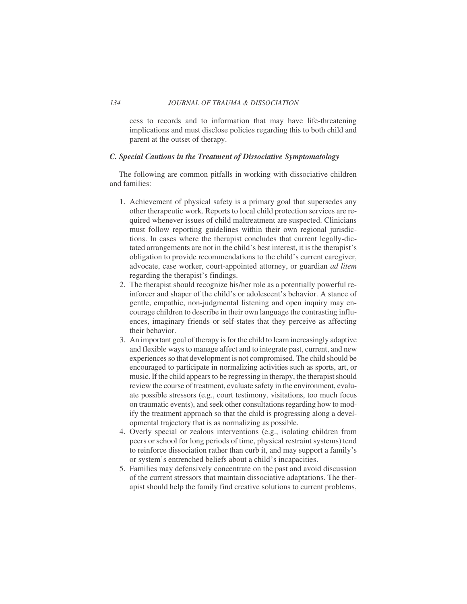cess to records and to information that may have life-threatening implications and must disclose policies regarding this to both child and parent at the outset of therapy.

# *C. Special Cautions in the Treatment of Dissociative Symptomatology*

The following are common pitfalls in working with dissociative children and families:

- 1. Achievement of physical safety is a primary goal that supersedes any other therapeutic work. Reports to local child protection services are required whenever issues of child maltreatment are suspected. Clinicians must follow reporting guidelines within their own regional jurisdictions. In cases where the therapist concludes that current legally-dictated arrangements are not in the child's best interest, it is the therapist's obligation to provide recommendations to the child's current caregiver, advocate, case worker, court-appointed attorney, or guardian *ad litem* regarding the therapist's findings.
- 2. The therapist should recognize his/her role as a potentially powerful reinforcer and shaper of the child's or adolescent's behavior. A stance of gentle, empathic, non-judgmental listening and open inquiry may encourage children to describe in their own language the contrasting influences, imaginary friends or self-states that they perceive as affecting their behavior.
- 3. An important goal of therapy is for the child to learn increasingly adaptive and flexible ways to manage affect and to integrate past, current, and new experiences so that development is not compromised. The child should be encouraged to participate in normalizing activities such as sports, art, or music. If the child appears to be regressing in therapy, the therapist should review the course of treatment, evaluate safety in the environment, evaluate possible stressors (e.g., court testimony, visitations, too much focus on traumatic events), and seek other consultations regarding how to modify the treatment approach so that the child is progressing along a developmental trajectory that is as normalizing as possible.
- 4. Overly special or zealous interventions (e.g., isolating children from peers or school for long periods of time, physical restraint systems) tend to reinforce dissociation rather than curb it, and may support a family's or system's entrenched beliefs about a child's incapacities.
- 5. Families may defensively concentrate on the past and avoid discussion of the current stressors that maintain dissociative adaptations. The therapist should help the family find creative solutions to current problems,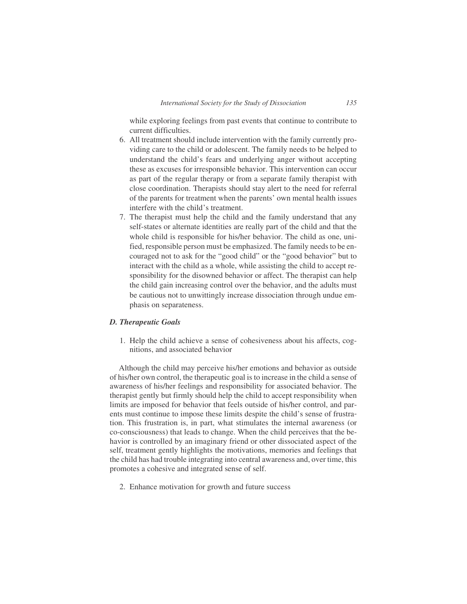while exploring feelings from past events that continue to contribute to current difficulties.

- 6. All treatment should include intervention with the family currently providing care to the child or adolescent. The family needs to be helped to understand the child's fears and underlying anger without accepting these as excuses for irresponsible behavior. This intervention can occur as part of the regular therapy or from a separate family therapist with close coordination. Therapists should stay alert to the need for referral of the parents for treatment when the parents' own mental health issues interfere with the child's treatment.
- 7. The therapist must help the child and the family understand that any self-states or alternate identities are really part of the child and that the whole child is responsible for his/her behavior. The child as one, unified, responsible person must be emphasized. The family needs to be encouraged not to ask for the "good child" or the "good behavior" but to interact with the child as a whole, while assisting the child to accept responsibility for the disowned behavior or affect. The therapist can help the child gain increasing control over the behavior, and the adults must be cautious not to unwittingly increase dissociation through undue emphasis on separateness.

# *D. Therapeutic Goals*

1. Help the child achieve a sense of cohesiveness about his affects, cognitions, and associated behavior

Although the child may perceive his/her emotions and behavior as outside of his/her own control, the therapeutic goal is to increase in the child a sense of awareness of his/her feelings and responsibility for associated behavior. The therapist gently but firmly should help the child to accept responsibility when limits are imposed for behavior that feels outside of his/her control, and parents must continue to impose these limits despite the child's sense of frustration. This frustration is, in part, what stimulates the internal awareness (or co-consciousness) that leads to change. When the child perceives that the behavior is controlled by an imaginary friend or other dissociated aspect of the self, treatment gently highlights the motivations, memories and feelings that the child has had trouble integrating into central awareness and, over time, this promotes a cohesive and integrated sense of self.

2. Enhance motivation for growth and future success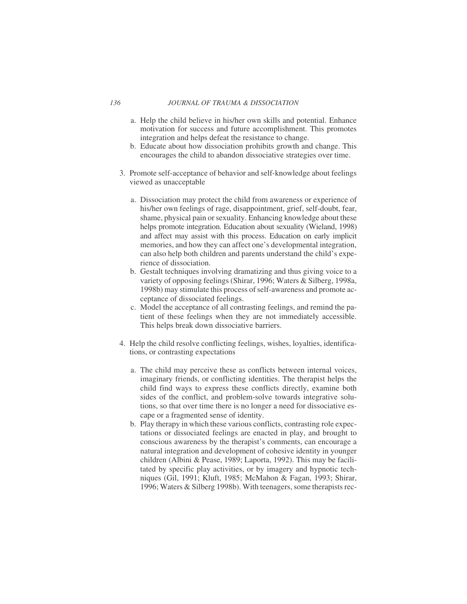- a. Help the child believe in his/her own skills and potential. Enhance motivation for success and future accomplishment. This promotes integration and helps defeat the resistance to change.
- b. Educate about how dissociation prohibits growth and change. This encourages the child to abandon dissociative strategies over time.
- 3. Promote self-acceptance of behavior and self-knowledge about feelings viewed as unacceptable
	- a. Dissociation may protect the child from awareness or experience of his/her own feelings of rage, disappointment, grief, self-doubt, fear, shame, physical pain or sexuality. Enhancing knowledge about these helps promote integration. Education about sexuality (Wieland, 1998) and affect may assist with this process. Education on early implicit memories, and how they can affect one's developmental integration, can also help both children and parents understand the child's experience of dissociation.
	- b. Gestalt techniques involving dramatizing and thus giving voice to a variety of opposing feelings (Shirar, 1996; Waters & Silberg, 1998a, 1998b) may stimulate this process of self-awareness and promote acceptance of dissociated feelings.
	- c. Model the acceptance of all contrasting feelings, and remind the patient of these feelings when they are not immediately accessible. This helps break down dissociative barriers.
- 4. Help the child resolve conflicting feelings, wishes, loyalties, identifications, or contrasting expectations
	- a. The child may perceive these as conflicts between internal voices, imaginary friends, or conflicting identities. The therapist helps the child find ways to express these conflicts directly, examine both sides of the conflict, and problem-solve towards integrative solutions, so that over time there is no longer a need for dissociative escape or a fragmented sense of identity.
	- b. Play therapy in which these various conflicts, contrasting role expectations or dissociated feelings are enacted in play, and brought to conscious awareness by the therapist's comments, can encourage a natural integration and development of cohesive identity in younger children (Albini & Pease, 1989; Laporta, 1992). This may be facilitated by specific play activities, or by imagery and hypnotic techniques (Gil, 1991; Kluft, 1985; McMahon & Fagan, 1993; Shirar, 1996; Waters & Silberg 1998b). With teenagers, some therapists rec-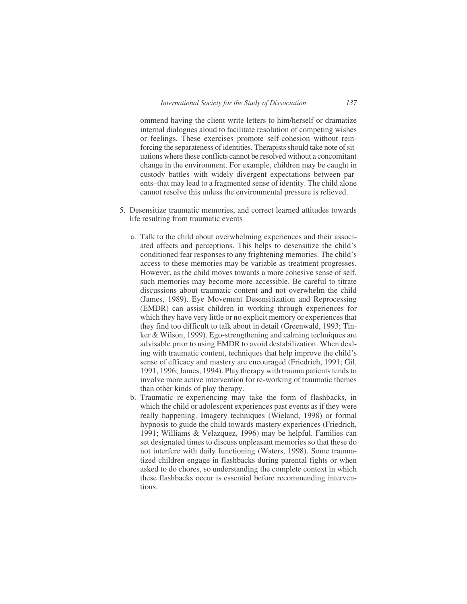ommend having the client write letters to him/herself or dramatize internal dialogues aloud to facilitate resolution of competing wishes or feelings. These exercises promote self-cohesion without reinforcing the separateness of identities. Therapists should take note of situations where these conflicts cannot be resolved without a concomitant change in the environment. For example, children may be caught in custody battles–with widely divergent expectations between parents–that may lead to a fragmented sense of identity. The child alone cannot resolve this unless the environmental pressure is relieved.

- 5. Desensitize traumatic memories, and correct learned attitudes towards life resulting from traumatic events
	- a. Talk to the child about overwhelming experiences and their associated affects and perceptions. This helps to desensitize the child's conditioned fear responses to any frightening memories. The child's access to these memories may be variable as treatment progresses. However, as the child moves towards a more cohesive sense of self, such memories may become more accessible. Be careful to titrate discussions about traumatic content and not overwhelm the child (James, 1989). Eye Movement Desensitization and Reprocessing (EMDR) can assist children in working through experiences for which they have very little or no explicit memory or experiences that they find too difficult to talk about in detail (Greenwald, 1993; Tinker & Wilson, 1999). Ego-strengthening and calming techniques are advisable prior to using EMDR to avoid destabilization. When dealing with traumatic content, techniques that help improve the child's sense of efficacy and mastery are encouraged (Friedrich, 1991; Gil, 1991, 1996; James, 1994). Play therapy with trauma patients tends to involve more active intervention for re-working of traumatic themes than other kinds of play therapy.
	- b. Traumatic re-experiencing may take the form of flashbacks, in which the child or adolescent experiences past events as if they were really happening. Imagery techniques (Wieland, 1998) or formal hypnosis to guide the child towards mastery experiences (Friedrich, 1991; Williams & Velazquez, 1996) may be helpful. Families can set designated times to discuss unpleasant memories so that these do not interfere with daily functioning (Waters, 1998). Some traumatized children engage in flashbacks during parental fights or when asked to do chores, so understanding the complete context in which these flashbacks occur is essential before recommending interventions.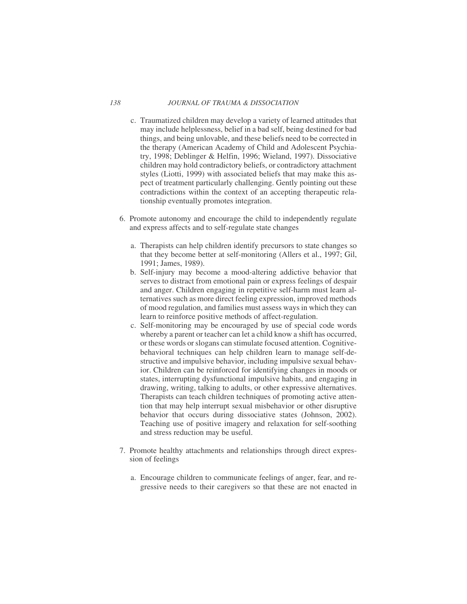- c. Traumatized children may develop a variety of learned attitudes that may include helplessness, belief in a bad self, being destined for bad things, and being unlovable, and these beliefs need to be corrected in the therapy (American Academy of Child and Adolescent Psychiatry, 1998; Deblinger & Helfin, 1996; Wieland, 1997). Dissociative children may hold contradictory beliefs, or contradictory attachment styles (Liotti, 1999) with associated beliefs that may make this aspect of treatment particularly challenging. Gently pointing out these contradictions within the context of an accepting therapeutic relationship eventually promotes integration.
- 6. Promote autonomy and encourage the child to independently regulate and express affects and to self-regulate state changes
	- a. Therapists can help children identify precursors to state changes so that they become better at self-monitoring (Allers et al., 1997; Gil, 1991; James, 1989).
	- b. Self-injury may become a mood-altering addictive behavior that serves to distract from emotional pain or express feelings of despair and anger. Children engaging in repetitive self-harm must learn alternatives such as more direct feeling expression, improved methods of mood regulation, and families must assess ways in which they can learn to reinforce positive methods of affect-regulation.
	- c. Self-monitoring may be encouraged by use of special code words whereby a parent or teacher can let a child know a shift has occurred, or these words or slogans can stimulate focused attention. Cognitivebehavioral techniques can help children learn to manage self-destructive and impulsive behavior, including impulsive sexual behavior. Children can be reinforced for identifying changes in moods or states, interrupting dysfunctional impulsive habits, and engaging in drawing, writing, talking to adults, or other expressive alternatives. Therapists can teach children techniques of promoting active attention that may help interrupt sexual misbehavior or other disruptive behavior that occurs during dissociative states (Johnson, 2002). Teaching use of positive imagery and relaxation for self-soothing and stress reduction may be useful.
- 7. Promote healthy attachments and relationships through direct expression of feelings
	- a. Encourage children to communicate feelings of anger, fear, and regressive needs to their caregivers so that these are not enacted in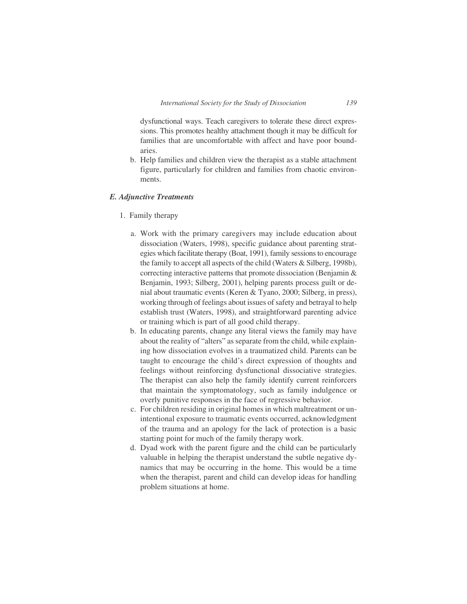dysfunctional ways. Teach caregivers to tolerate these direct expressions. This promotes healthy attachment though it may be difficult for families that are uncomfortable with affect and have poor boundaries.

b. Help families and children view the therapist as a stable attachment figure, particularly for children and families from chaotic environments.

# *E. Adjunctive Treatments*

- 1. Family therapy
	- a. Work with the primary caregivers may include education about dissociation (Waters, 1998), specific guidance about parenting strategies which facilitate therapy (Boat, 1991), family sessions to encourage the family to accept all aspects of the child (Waters & Silberg, 1998b), correcting interactive patterns that promote dissociation (Benjamin & Benjamin, 1993; Silberg, 2001), helping parents process guilt or denial about traumatic events (Keren & Tyano, 2000; Silberg, in press), working through of feelings about issues of safety and betrayal to help establish trust (Waters, 1998), and straightforward parenting advice or training which is part of all good child therapy.
	- b. In educating parents, change any literal views the family may have about the reality of "alters" as separate from the child, while explaining how dissociation evolves in a traumatized child. Parents can be taught to encourage the child's direct expression of thoughts and feelings without reinforcing dysfunctional dissociative strategies. The therapist can also help the family identify current reinforcers that maintain the symptomatology, such as family indulgence or overly punitive responses in the face of regressive behavior.
	- c. For children residing in original homes in which maltreatment or unintentional exposure to traumatic events occurred, acknowledgment of the trauma and an apology for the lack of protection is a basic starting point for much of the family therapy work.
	- d. Dyad work with the parent figure and the child can be particularly valuable in helping the therapist understand the subtle negative dynamics that may be occurring in the home. This would be a time when the therapist, parent and child can develop ideas for handling problem situations at home.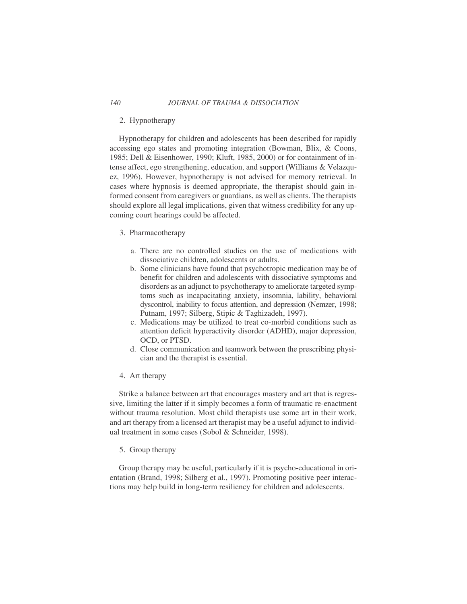## 2. Hypnotherapy

Hypnotherapy for children and adolescents has been described for rapidly accessing ego states and promoting integration (Bowman, Blix, & Coons, 1985; Dell & Eisenhower, 1990; Kluft, 1985, 2000) or for containment of intense affect, ego strengthening, education, and support (Williams & Velazquez, 1996). However, hypnotherapy is not advised for memory retrieval. In cases where hypnosis is deemed appropriate, the therapist should gain informed consent from caregivers or guardians, as well as clients. The therapists should explore all legal implications, given that witness credibility for any upcoming court hearings could be affected.

## 3. Pharmacotherapy

- a. There are no controlled studies on the use of medications with dissociative children, adolescents or adults.
- b. Some clinicians have found that psychotropic medication may be of benefit for children and adolescents with dissociative symptoms and disorders as an adjunct to psychotherapy to ameliorate targeted symptoms such as incapacitating anxiety, insomnia, lability, behavioral dyscontrol, inability to focus attention, and depression (Nemzer, 1998; Putnam, 1997; Silberg, Stipic & Taghizadeh, 1997).
- c. Medications may be utilized to treat co-morbid conditions such as attention deficit hyperactivity disorder (ADHD), major depression, OCD, or PTSD.
- d. Close communication and teamwork between the prescribing physician and the therapist is essential.
- 4. Art therapy

Strike a balance between art that encourages mastery and art that is regressive, limiting the latter if it simply becomes a form of traumatic re-enactment without trauma resolution. Most child therapists use some art in their work, and art therapy from a licensed art therapist may be a useful adjunct to individual treatment in some cases (Sobol & Schneider, 1998).

# 5. Group therapy

Group therapy may be useful, particularly if it is psycho-educational in orientation (Brand, 1998; Silberg et al., 1997). Promoting positive peer interactions may help build in long-term resiliency for children and adolescents.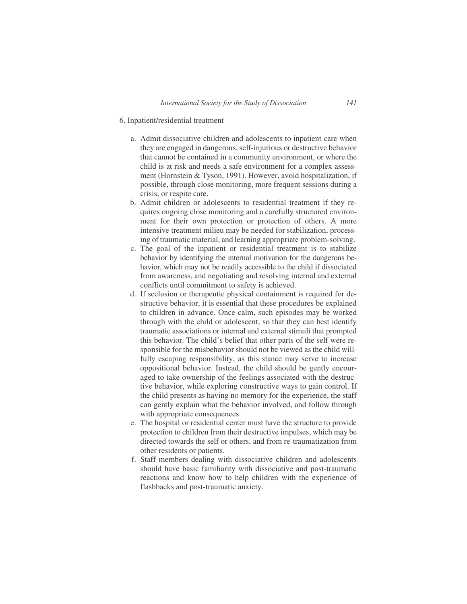## 6. Inpatient/residential treatment

- a. Admit dissociative children and adolescents to inpatient care when they are engaged in dangerous, self-injurious or destructive behavior that cannot be contained in a community environment, or where the child is at risk and needs a safe environment for a complex assessment (Hornstein & Tyson, 1991). However, avoid hospitalization, if possible, through close monitoring, more frequent sessions during a crisis, or respite care.
- b. Admit children or adolescents to residential treatment if they requires ongoing close monitoring and a carefully structured environment for their own protection or protection of others. A more intensive treatment milieu may be needed for stabilization, processing of traumatic material, and learning appropriate problem-solving.
- c. The goal of the inpatient or residential treatment is to stabilize behavior by identifying the internal motivation for the dangerous behavior, which may not be readily accessible to the child if dissociated from awareness, and negotiating and resolving internal and external conflicts until commitment to safety is achieved.
- d. If seclusion or therapeutic physical containment is required for destructive behavior, it is essential that these procedures be explained to children in advance. Once calm, such episodes may be worked through with the child or adolescent, so that they can best identify traumatic associations or internal and external stimuli that prompted this behavior. The child's belief that other parts of the self were responsible for the misbehavior should not be viewed as the child willfully escaping responsibility, as this stance may serve to increase oppositional behavior. Instead, the child should be gently encouraged to take ownership of the feelings associated with the destructive behavior, while exploring constructive ways to gain control. If the child presents as having no memory for the experience, the staff can gently explain what the behavior involved, and follow through with appropriate consequences.
- e. The hospital or residential center must have the structure to provide protection to children from their destructive impulses, which may be directed towards the self or others, and from re-traumatization from other residents or patients.
- f. Staff members dealing with dissociative children and adolescents should have basic familiarity with dissociative and post-traumatic reactions and know how to help children with the experience of flashbacks and post-traumatic anxiety.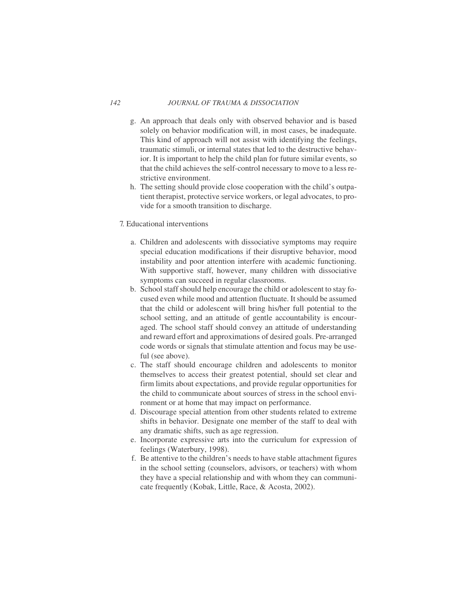- g. An approach that deals only with observed behavior and is based solely on behavior modification will, in most cases, be inadequate. This kind of approach will not assist with identifying the feelings, traumatic stimuli, or internal states that led to the destructive behavior. It is important to help the child plan for future similar events, so that the child achieves the self-control necessary to move to a less restrictive environment.
- h. The setting should provide close cooperation with the child's outpatient therapist, protective service workers, or legal advocates, to provide for a smooth transition to discharge.

## 7. Educational interventions

- a. Children and adolescents with dissociative symptoms may require special education modifications if their disruptive behavior, mood instability and poor attention interfere with academic functioning. With supportive staff, however, many children with dissociative symptoms can succeed in regular classrooms.
- b. School staff should help encourage the child or adolescent to stay focused even while mood and attention fluctuate. It should be assumed that the child or adolescent will bring his/her full potential to the school setting, and an attitude of gentle accountability is encouraged. The school staff should convey an attitude of understanding and reward effort and approximations of desired goals. Pre-arranged code words or signals that stimulate attention and focus may be useful (see above).
- c. The staff should encourage children and adolescents to monitor themselves to access their greatest potential, should set clear and firm limits about expectations, and provide regular opportunities for the child to communicate about sources of stress in the school environment or at home that may impact on performance.
- d. Discourage special attention from other students related to extreme shifts in behavior. Designate one member of the staff to deal with any dramatic shifts, such as age regression.
- e. Incorporate expressive arts into the curriculum for expression of feelings (Waterbury, 1998).
- f. Be attentive to the children's needs to have stable attachment figures in the school setting (counselors, advisors, or teachers) with whom they have a special relationship and with whom they can communicate frequently (Kobak, Little, Race, & Acosta, 2002).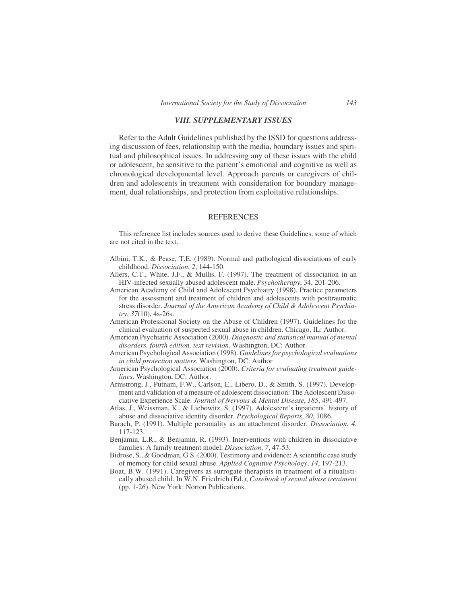# *VIII. SUPPLEMENTARY ISSUES*

Refer to the Adult Guidelines published by the ISSD for questions addressing discussion of fees, relationship with the media, boundary issues and spiritual and philosophical issues. In addressing any of these issues with the child or adolescent, be sensitive to the patient's emotional and cognitive as well as chronological developmental level. Approach parents or caregivers of children and adolescents in treatment with consideration for boundary management, dual relationships, and protection from exploitative relationships.

#### **REFERENCES**

This reference list includes sources used to derive these Guidelines, some of which are not cited in the text.

- Albini, T.K., & Pease, T.E. (1989). Normal and pathological dissociations of early childhood. *Dissociation*, *2*, 144-150.
- Allers, C.T., White, J.F., & Mullis, F. (1997). The treatment of dissociation in an HIV-infected sexually abused adolescent male. *Psychotherapy*, 34, 201-206.
- American Academy of Child and Adolescent Psychiatry (1998). Practice parameters for the assessment and treatment of children and adolescents with posttraumatic stress disorder. *Journal of the American Academy of Child & Adolescent Psychiatry*, *37*(10), 4s-26s.
- American Professional Society on the Abuse of Children (1997). Guidelines for the clinical evaluation of suspected sexual abuse in children. Chicago, IL: Author.
- American Psychiatric Association (2000). *Diagnostic and statistical manual of mental disorders, fourth edition, text revision*. Washington, DC: Author.
- American Psychological Association (1998). *Guidelines for psychological evaluations in child protection matters*. Washington, DC: Author
- American Psychological Association (2000). *Criteria for evaluating treatment guidelines*. Washington, DC: Author.
- Armstrong, J., Putnam, F.W., Carlson, E., Libero, D., & Smith, S. (1997). Development and validation of a measure of adolescent dissociation: The Adolescent Dissociative Experience Scale. *Journal of Nervous & Mental Disease*, *185*, 491-497.
- Atlas, J., Weissman, K., & Liebowitz, S. (1997). Adolescent's inpatients' history of abuse and dissociative identity disorder. *Psychological Reports*, *80*, 1086.
- Barach, P. (1991). Multiple personality as an attachment disorder. *Dissociation*, *4*, 117-123.
- Benjamin, L.R., & Benjamin, R. (1993). Interventions with children in dissociative families: A family treatment model. *Dissociation*, *7*, 47-53.
- Bidrose, S., & Goodman, G.S. (2000). Testimony and evidence: A scientific case study of memory for child sexual abuse. *Applied Cognitive Psychology*, *14*, 197-213.
- Boat, B.W. (1991). Caregivers as surrogate therapists in treatment of a ritualistically abused child. In W.N. Friedrich (Ed.), *Casebook of sexual abuse treatment* (pp. 1-26). New York: Norton Publications.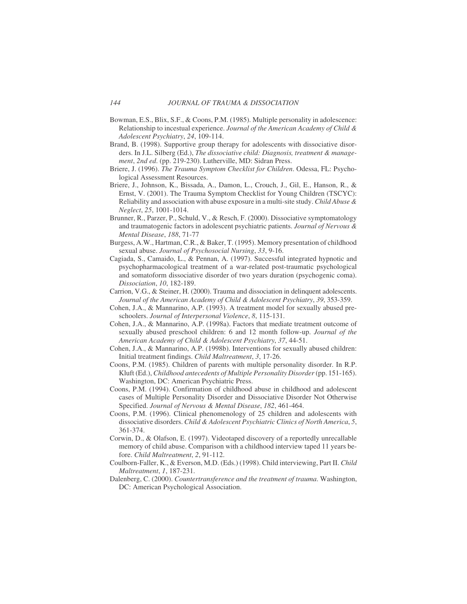- Bowman, E.S., Blix, S.F., & Coons, P.M. (1985). Multiple personality in adolescence: Relationship to incestual experience. *Journal of the American Academy of Child & Adolescent Psychiatry*, *24*, 109-114.
- Brand, B. (1998). Supportive group therapy for adolescents with dissociative disorders. In J.L. Silberg (Ed.), *The dissociative child: Diagnosis, treatment & management*, *2nd ed*. (pp. 219-230). Lutherville, MD: Sidran Press.
- Briere, J. (1996). *The Trauma Symptom Checklist for Children*. Odessa, FL: Psychological Assessment Resources.
- Briere, J., Johnson, K., Bissada, A., Damon, L., Crouch, J., Gil, E., Hanson, R., & Ernst, V. (2001). The Trauma Symptom Checklist for Young Children (TSCYC): Reliability and association with abuse exposure in a multi-site study. *Child Abuse & Neglect*, *25*, 1001-1014.
- Brunner, R., Parzer, P., Schuld, V., & Resch, F. (2000). Dissociative symptomatology and traumatogenic factors in adolescent psychiatric patients. *Journal of Nervous & Mental Disease*, *188*, 71-77
- Burgess, A.W., Hartman, C.R., & Baker, T. (1995). Memory presentation of childhood sexual abuse. *Journal of Psychosocial Nursing*, *33*, 9-16.
- Cagiada, S., Camaido, L., & Pennan, A. (1997). Successful integrated hypnotic and psychopharmacological treatment of a war-related post-traumatic psychological and somatoform dissociative disorder of two years duration (psychogenic coma). *Dissociation*, *10*, 182-189.
- Carrion, V.G., & Steiner, H. (2000). Trauma and dissociation in delinquent adolescents. *Journal of the American Academy of Child & Adolescent Psychiatry*, *39*, 353-359.
- Cohen, J.A., & Mannarino, A.P. (1993). A treatment model for sexually abused preschoolers. *Journal of Interpersonal Violence*, *8*, 115-131.
- Cohen, J.A., & Mannarino, A.P. (1998a). Factors that mediate treatment outcome of sexually abused preschool children: 6 and 12 month follow-up. *Journal of the American Academy of Child & Adolescent Psychiatry*, *37*, 44-51.
- Cohen, J.A., & Mannarino, A.P. (1998b). Interventions for sexually abused children: Initial treatment findings. *Child Maltreatment*, *3*, 17-26.
- Coons, P.M. (1985). Children of parents with multiple personality disorder. In R.P. Kluft (Ed.), *Childhood antecedents of Multiple Personality Disorder*(pp. 151-165). Washington, DC: American Psychiatric Press.
- Coons, P.M. (1994). Confirmation of childhood abuse in childhood and adolescent cases of Multiple Personality Disorder and Dissociative Disorder Not Otherwise Specified. *Journal of Nervous & Mental Disease*, *182*, 461-464.
- Coons, P.M. (1996). Clinical phenomenology of 25 children and adolescents with dissociative disorders. *Child & Adolescent Psychiatric Clinics of North America*, *5*, 361-374.
- Corwin, D., & Olafson, E. (1997). Videotaped discovery of a reportedly unrecallable memory of child abuse. Comparison with a childhood interview taped 11 years before. *Child Maltreatment*, *2*, 91-112.
- Coulborn-Faller, K., & Everson, M.D. (Eds.) (1998). Child interviewing, Part II. *Child Maltreatment*, *1*, 187-231.
- Dalenberg, C. (2000). *Countertransference and the treatment of trauma*. Washington, DC: American Psychological Association.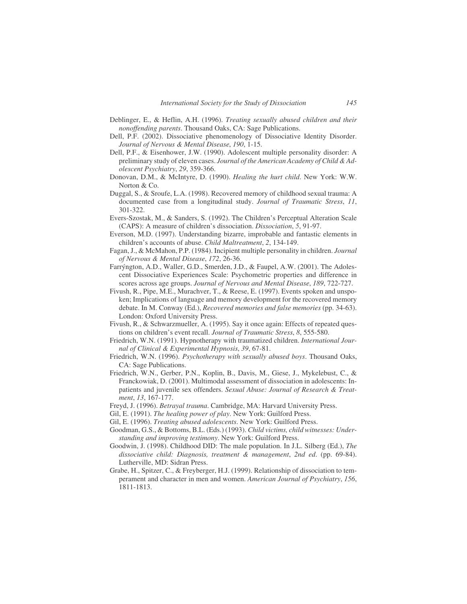- Deblinger, E., & Heflin, A.H. (1996). *Treating sexually abused children and their nonoffending parents*. Thousand Oaks, CA: Sage Publications.
- Dell, P.F. (2002). Dissociative phenomenology of Dissociative Identity Disorder. *Journal of Nervous & Mental Disease*, *190*, 1-15.
- Dell, P.F., & Eisenhower, J.W. (1990). Adolescent multiple personality disorder: A preliminary study of eleven cases. *Journal of the American Academy of Child & Adolescent Psychiatry*, *29*, 359-366.
- Donovan, D.M., & McIntyre, D. (1990). *Healing the hurt child*. New York: W.W. Norton & Co.
- Duggal, S., & Sroufe, L.A. (1998). Recovered memory of childhood sexual trauma: A documented case from a longitudinal study. *Journal of Traumatic Stress*, *11*, 301-322.
- Evers-Szostak, M., & Sanders, S. (1992). The Children's Perceptual Alteration Scale (CAPS): A measure of children's dissociation. *Dissociation*, *5*, 91-97.
- Everson, M.D. (1997). Understanding bizarre, improbable and fantastic elements in children's accounts of abuse. *Child Maltreatment*, *2*, 134-149.
- Fagan, J., & McMahon, P.P. (1984). Incipient multiple personality in children. *Journal of Nervous & Mental Disease*, *172*, 26-36.
- Farrýngton, A.D., Waller, G.D., Smerden, J.D., & Faupel, A.W. (2001). The Adolescent Dissociative Experiences Scale: Psychometric properties and difference in scores across age groups. *Journal of Nervous and Mental Disease*, *189*, 722-727.
- Fivush, R., Pipe, M.E., Murachver, T., & Reese, E. (1997). Events spoken and unspoken; Implications of language and memory development for the recovered memory debate. In M. Conway (Ed.), *Recovered memories and false memories* (pp. 34-63). London: Oxford University Press.
- Fivush, R., & Schwarzmueller, A. (1995). Say it once again: Effects of repeated questions on children's event recall. *Journal of Traumatic Stress*, *8*, 555-580.
- Friedrich, W.N. (1991). Hypnotherapy with traumatized children. *International Journal of Clinical & Experimental Hypnosis*, *39*, 67-81.
- Friedrich, W.N. (1996). *Psychotherapy with sexually abused boys*. Thousand Oaks, CA: Sage Publications.
- Friedrich, W.N., Gerber, P.N., Koplin, B., Davis, M., Giese, J., Mykelebust, C., & Franckowiak, D. (2001). Multimodal assessment of dissociation in adolescents: Inpatients and juvenile sex offenders. *Sexual Abuse: Journal of Research & Treatment*, *13*, 167-177.
- Freyd, J. (1996). *Betrayal trauma*. Cambridge, MA: Harvard University Press.
- Gil, E. (1991). *The healing power of play*. New York: Guilford Press.
- Gil, E. (1996). *Treating abused adolescents*. New York: Guilford Press.
- Goodman, G.S., & Bottoms, B.L. (Eds.) (1993). *Child victims, child witnesses: Understanding and improving testimony*. New York: Guilford Press.
- Goodwin, J. (1998). Childhood DID: The male population. In J.L. Silberg (Ed.), *The dissociative child: Diagnosis, treatment & management*, *2nd ed*. (pp. 69-84). Lutherville, MD: Sidran Press.
- Grabe, H., Spitzer, C., & Freyberger, H.J. (1999). Relationship of dissociation to temperament and character in men and women. *American Journal of Psychiatry*, *156*, 1811-1813.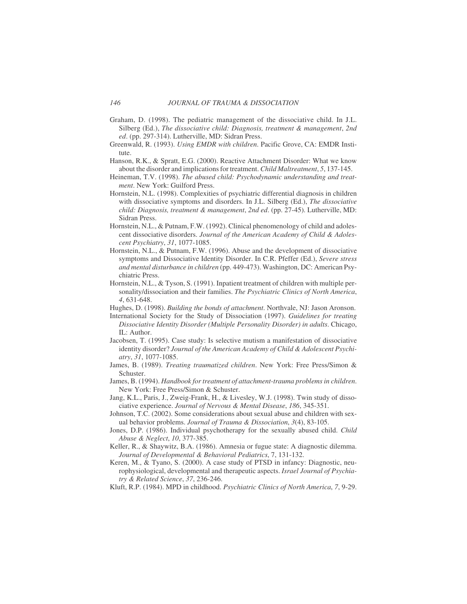- Graham, D. (1998). The pediatric management of the dissociative child. In J.L. Silberg (Ed.), *The dissociative child: Diagnosis, treatment & management*, *2nd ed*. (pp. 297-314). Lutherville, MD: Sidran Press.
- Greenwald, R. (1993). *Using EMDR with children*. Pacific Grove, CA: EMDR Institute.
- Hanson, R.K., & Spratt, E.G. (2000). Reactive Attachment Disorder: What we know about the disorder and implications for treatment. *Child Maltreatment*, *5*, 137-145.
- Heineman, T.V. (1998). *The abused child: Psychodynamic understanding and treatment*. New York: Guilford Press.
- Hornstein, N.L. (1998). Complexities of psychiatric differential diagnosis in children with dissociative symptoms and disorders. In J.L. Silberg (Ed.), *The dissociative child: Diagnosis, treatment & management*, *2nd ed*. (pp. 27-45). Lutherville, MD: Sidran Press.
- Hornstein, N.L., & Putnam, F.W. (1992). Clinical phenomenology of child and adolescent dissociative disorders. *Journal of the American Academy of Child & Adolescent Psychiatry*, *31*, 1077-1085.
- Hornstein, N.L., & Putnam, F.W. (1996). Abuse and the development of dissociative symptoms and Dissociative Identity Disorder. In C.R. Pfeffer (Ed.), *Severe stress and mental disturbance in children* (pp. 449-473). Washington, DC: American Psychiatric Press.
- Hornstein, N.L., & Tyson, S. (1991). Inpatient treatment of children with multiple personality/dissociation and their families. *The Psychiatric Clinics of North America*, *4*, 631-648.
- Hughes, D. (1998). *Building the bonds of attachment*. Northvale, NJ: Jason Aronson.
- International Society for the Study of Dissociation (1997). *Guidelines for treating Dissociative Identity Disorder (Multiple Personality Disorder) in adults*. Chicago, IL: Author.
- Jacobsen, T. (1995). Case study: Is selective mutism a manifestation of dissociative identity disorder? *Journal of the American Academy of Child & Adolescent Psychiatry*, *31*, 1077-1085.
- James, B. (1989). *Treating traumatized children*. New York: Free Press/Simon & Schuster.
- James, B. (1994). *Handbook for treatment of attachment-trauma problems in children*. New York: Free Press/Simon & Schuster.
- Jang, K.L., Paris, J., Zweig-Frank, H., & Livesley, W.J. (1998). Twin study of dissociative experience. *Journal of Nervous & Mental Disease*, *186*, 345-351.
- Johnson, T.C. (2002). Some considerations about sexual abuse and children with sexual behavior problems. *Journal of Trauma & Dissociation*, *3*(4), 83-105.
- Jones, D.P. (1986). Individual psychotherapy for the sexually abused child. *Child Abuse & Neglect*, *10*, 377-385.
- Keller, R., & Shaywitz, B.A. (1986). Amnesia or fugue state: A diagnostic dilemma. *Journal of Developmental & Behavioral Pediatrics*, 7, 131-132.
- Keren, M., & Tyano, S. (2000). A case study of PTSD in infancy: Diagnostic, neurophysiological, developmental and therapeutic aspects. *Israel Journal of Psychiatry & Related Science*, *37*, 236-246.
- Kluft, R.P. (1984). MPD in childhood. *Psychiatric Clinics of North America*, *7*, 9-29.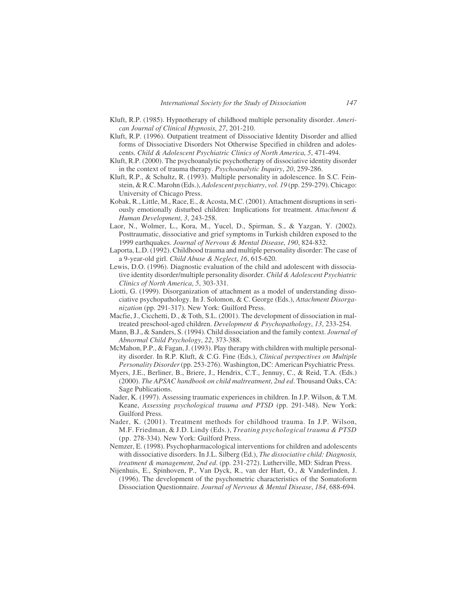- Kluft, R.P. (1985). Hypnotherapy of childhood multiple personality disorder. *American Journal of Clinical Hypnosis*, *27*, 201-210.
- Kluft, R.P. (1996). Outpatient treatment of Dissociative Identity Disorder and allied forms of Dissociative Disorders Not Otherwise Specified in children and adolescents. *Child & Adolescent Psychiatric Clinics of North America*, *5*, 471-494.
- Kluft, R.P. (2000). The psychoanalytic psychotherapy of dissociative identity disorder in the context of trauma therapy. *Psychoanalytic Inquiry*, *20*, 259-286.
- Kluft, R.P., & Schultz, R. (1993). Multiple personality in adolescence. In S.C. Feinstein, & R.C. Marohn (Eds.), *Adolescent psychiatry*, *vol. 19* (pp. 259-279). Chicago: University of Chicago Press.
- Kobak, R., Little, M., Race, E., & Acosta, M.C. (2001). Attachment disruptions in seriously emotionally disturbed children: Implications for treatment. *Attachment & Human Development*, *3*, 243-258.
- Laor, N., Wolmer, L., Kora, M., Yucel, D., Spirman, S., & Yazgan, Y. (2002). Posttraumatic, dissociative and grief symptoms in Turkish children exposed to the 1999 earthquakes. *Journal of Nervous & Mental Disease*, *190*, 824-832.
- Laporta, L.D. (1992). Childhood trauma and multiple personality disorder: The case of a 9-year-old girl. *Child Abuse & Neglect*, *16*, 615-620.
- Lewis, D.O. (1996). Diagnostic evaluation of the child and adolescent with dissociative identity disorder/multiple personality disorder. *Child & Adolescent Psychiatric Clinics of North America*, *5*, 303-331.
- Liotti, G. (1999). Disorganization of attachment as a model of understanding dissociative psychopathology. In J. Solomon, & C. George (Eds.), *Attachment Disorganization* (pp. 291-317). New York: Guilford Press.
- Macfie, J., Cicchetti, D., & Toth, S.L. (2001). The development of dissociation in maltreated preschool-aged children. *Development & Psychopathology*, *13*, 233-254.
- Mann, B.J., & Sanders, S. (1994). Child dissociation and the family context. *Journal of Abnormal Child Psychology*, *22*, 373-388.
- McMahon, P.P., & Fagan, J. (1993). Play therapy with children with multiple personality disorder. In R.P. Kluft, & C.G. Fine (Eds.), *Clinical perspectives on Multiple Personality Disorder*(pp. 253-276). Washington, DC: American Psychiatric Press.
- Myers, J.E., Berliner, B., Briere, J., Hendrix, C.T., Jennuy, C., & Reid, T.A. (Eds.) (2000). *The APSAC handbook on child maltreatment*, *2nd ed*. Thousand Oaks, CA: Sage Publications.
- Nader, K. (1997). Assessing traumatic experiences in children. In J.P. Wilson, & T.M. Keane, *Assessing psychological trauma and PTSD* (pp. 291-348). New York: Guilford Press.
- Nader, K. (2001). Treatment methods for childhood trauma. In J.P. Wilson, M.F. Friedman, & J.D. Lindy (Eds.), *Treating psychological trauma & PTSD* (pp. 278-334). New York: Guilford Press.
- Nemzer, E. (1998). Psychopharmacological interventions for children and adolescents with dissociative disorders. In J.L. Silberg (Ed.), *The dissociative child: Diagnosis, treatment & management*, *2nd ed*. (pp. 231-272). Lutherville, MD: Sidran Press.
- Nijenhuis, E., Spinhoven, P., Van Dyck, R., van der Hart, O., & Vanderlinden, J. (1996). The development of the psychometric characteristics of the Somatoform Dissociation Questionnaire. *Journal of Nervous & Mental Disease*, *184*, 688-694.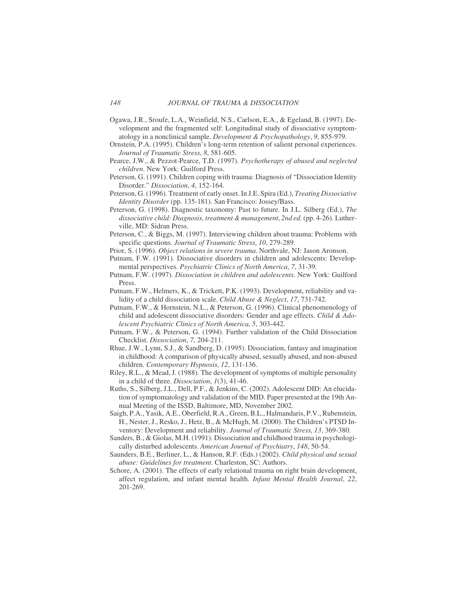- Ogawa, J.R., Sroufe, L.A., Weinfield, N.S., Carlson, E.A., & Egeland, B. (1997). Development and the fragmented self: Longitudinal study of dissociative symptomatology in a nonclinical sample. *Development & Psychopathology*, *9*, 855-979.
- Ornstein, P.A. (1995). Children's long-term retention of salient personal experiences. *Journal of Traumatic Stress*, *8*, 581-605.
- Pearce, J.W., & Pezzot-Pearce, T.D. (1997). *Psychotherapy of abused and neglected children*. New York: Guilford Press.
- Peterson, G. (1991). Children coping with trauma: Diagnosis of "Dissociation Identity Disorder." *Dissociation*, *4*, 152-164.
- Peterson, G. (1996). Treatment of early onset. In J.E. Spira (Ed.), *Treating Dissociative Identity Disorder* (pp. 135-181). San Francisco: Jossey/Bass.
- Peterson, G. (1998). Diagnostic taxonomy: Past to future. In J.L. Silberg (Ed.), *The dissociative child: Diagnosis, treatment & management*, *2nd ed*. (pp. 4-26). Lutherville, MD: Sidran Press.
- Peterson, C., & Biggs, M. (1997). Interviewing children about trauma: Problems with specific questions. *Journal of Traumatic Stress*, *10*, 279-289.
- Prior, S. (1996). *Object relations in severe trauma*. Northvale, NJ: Jason Aronson.
- Putnam, F.W. (1991). Dissociative disorders in children and adolescents: Developmental perspectives. *Psychiatric Clinics of North America*, *7*, 31-39.
- Putnam, F.W. (1997). *Dissociation in children and adolescents*. New York: Guilford Press.
- Putnam, F.W., Helmers, K., & Trickett, P.K. (1993). Development, reliability and validity of a child dissociation scale. *Child Abuse & Neglect*, *17*, 731-742.
- Putnam, F.W., & Hornstein, N.L., & Peterson, G. (1996). Clinical phenomenology of child and adolescent dissociative disorders: Gender and age effects. *Child & Adolescent Psychiatric Clinics of North America*, *5*, 303-442.
- Putnam, F.W., & Peterson, G. (1994). Further validation of the Child Dissociation Checklist. *Dissociation*, *7*, 204-211.
- Rhue, J.W., Lynn, S.J., & Sandberg, D. (1995). Dissociation, fantasy and imagination in childhood: A comparison of physically abused, sexually abused, and non-abused children. *Contemporary Hypnosis*, *12*, 131-136.
- Riley, R.L., & Mead, J. (1988). The development of symptoms of multiple personality in a child of three. *Dissociation*, *1*(3), 41-46.
- Ruths, S., Silberg, J.L., Dell, P.F., & Jenkins, C. (2002). Adolescent DID: An elucidation of symptomatology and validation of the MID. Paper presented at the 19th Annual Meeting of the ISSD, Baltimore, MD, November 2002.
- Saigh, P.A., Yasik, A.E., Oberfield, R.A., Green, B.L., Halmandaris, P.V., Rubenstein, H., Nester, J., Resko, J., Hetz, B., & McHugh, M. (2000). The Children's PTSD Inventory: Development and reliability. *Journal of Traumatic Stress*, *13*, 369-380.
- Sanders, B., & Giolas, M.H. (1991). Dissociation and childhood trauma in psychologically disturbed adolescents. *American Journal of Psychiatry*, *148*, 50-54.
- Saunders, B.E., Berliner, L., & Hanson, R.F. (Eds.) (2002). *Child physical and sexual abuse: Guidelines for treatment*. Charleston, SC: Authors.
- Schore, A. (2001). The effects of early relational trauma on right brain development, affect regulation, and infant mental health. *Infant Mental Health Journal*, *22*, 201-269.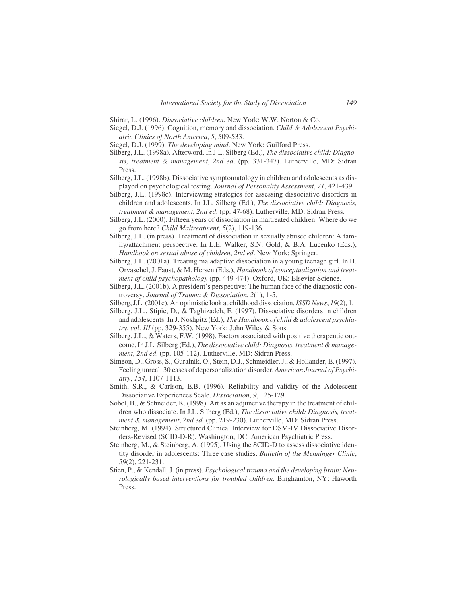Shirar, L. (1996). *Dissociative children*. New York: W.W. Norton & Co.

- Siegel, D.J. (1996). Cognition, memory and dissociation. *Child & Adolescent Psychiatric Clinics of North America*, *5*, 509-533.
- Siegel, D.J. (1999). *The developing mind*. New York: Guilford Press.
- Silberg, J.L. (1998a). Afterword. In J.L. Silberg (Ed.), *The dissociative child: Diagnosis, treatment & management*, *2nd ed*. (pp. 331-347). Lutherville, MD: Sidran Press.
- Silberg, J.L. (1998b). Dissociative symptomatology in children and adolescents as displayed on psychological testing. *Journal of Personality Assessment*, *71*, 421-439.
- Silberg, J.L. (1998c). Interviewing strategies for assessing dissociative disorders in children and adolescents. In J.L. Silberg (Ed.), *The dissociative child: Diagnosis, treatment & management*, *2nd ed*. (pp. 47-68). Lutherville, MD: Sidran Press.
- Silberg, J.L. (2000). Fifteen years of dissociation in maltreated children: Where do we go from here? *Child Maltreatment*, *5*(2), 119-136.
- Silberg, J.L. (in press). Treatment of dissociation in sexually abused children: A family/attachment perspective. In L.E. Walker, S.N. Gold, & B.A. Lucenko (Eds.), *Handbook on sexual abuse of children*, *2nd ed*. New York: Springer.
- Silberg, J.L. (2001a). Treating maladaptive dissociation in a young teenage girl. In H. Orvaschel, J. Faust, & M. Hersen (Eds.), *Handbook of conceptualization and treatment of child psychopathology* (pp. 449-474). Oxford, UK: Elsevier Science.
- Silberg, J.L. (2001b). A president's perspective: The human face of the diagnostic controversy. *Journal of Trauma & Dissociation*, *2*(1), 1-5.
- Silberg, J.L. (2001c). An optimistic look at childhood dissociation.*ISSD News*, *19*(2), 1.
- Silberg, J.L., Stipic, D., & Taghizadeh, F. (1997). Dissociative disorders in children and adolescents. In J. Noshpitz (Ed.), *The Handbook of child & adolescent psychiatry*, *vol. III* (pp. 329-355). New York: John Wiley & Sons.
- Silberg, J.L., & Waters, F.W. (1998). Factors associated with positive therapeutic outcome. In J.L. Silberg (Ed.), *The dissociative child: Diagnosis, treatment & management*, *2nd ed*. (pp. 105-112). Lutherville, MD: Sidran Press.
- Simeon, D., Gross, S., Guralnik, O., Stein, D.J., Schmeidler, J., & Hollander, E. (1997). Feeling unreal: 30 cases of depersonalization disorder. *American Journal of Psychiatry*, *154*, 1107-1113.
- Smith, S.R., & Carlson, E.B. (1996). Reliability and validity of the Adolescent Dissociative Experiences Scale. *Dissociation*, *9*, 125-129.
- Sobol, B., & Schneider, K. (1998). Art as an adjunctive therapy in the treatment of children who dissociate. In J.L. Silberg (Ed.), *The dissociative child: Diagnosis, treatment & management*, *2nd ed*. (pp. 219-230). Lutherville, MD: Sidran Press.
- Steinberg, M. (1994). Structured Clinical Interview for DSM-IV Dissociative Disorders-Revised (SCID-D-R). Washington, DC: American Psychiatric Press.
- Steinberg, M., & Steinberg, A. (1995). Using the SCID-D to assess dissociative identity disorder in adolescents: Three case studies. *Bulletin of the Menninger Clinic*, *59*(2), 221-231.
- Stien, P., & Kendall, J. (in press). *Psychological trauma and the developing brain: Neurologically based interventions for troubled children*. Binghamton, NY: Haworth Press.